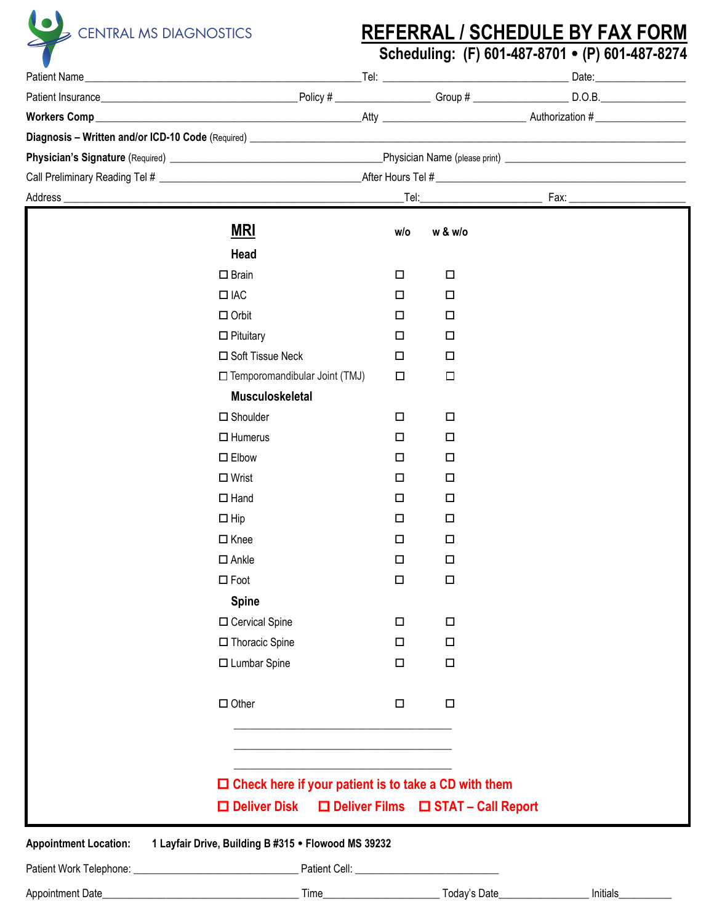

## **REFERRAL / SCHEDULE BY FAX FORM**

Scheduling: (F) 601-487-8701 · (P) 601-487-8274

|                                                                | $W{\rm or}$ kers ${\rm Comp}$ $\hskip1.5cm$ $\hskip1.5cm$ $\hskip1.5cm$ $\hskip1.5cm$ $\hskip1.5cm$ $\hskip1.5cm$ $\hskip1.5cm$ $\hskip1.5cm$ $\hskip1.5cm$ $\hskip1.5cm$ $\hskip1.5cm$ $\hskip1.5cm$ $\hskip1.5cm$ $\hskip1.5cm$ $\hskip1.5cm$ $\hskip1.5cm$ $\hskip1.5cm$ $\hskip1.5cm$ $\hskip1.5cm$ $\hskip1.5cm$ $\$ |        |                                      |  |  |  |
|----------------------------------------------------------------|---------------------------------------------------------------------------------------------------------------------------------------------------------------------------------------------------------------------------------------------------------------------------------------------------------------------------|--------|--------------------------------------|--|--|--|
|                                                                |                                                                                                                                                                                                                                                                                                                           |        |                                      |  |  |  |
|                                                                |                                                                                                                                                                                                                                                                                                                           |        |                                      |  |  |  |
|                                                                |                                                                                                                                                                                                                                                                                                                           |        |                                      |  |  |  |
| Address_                                                       | $\frac{Fax}{\frac{1}{2}x^{2}+2x^{2}}$                                                                                                                                                                                                                                                                                     |        |                                      |  |  |  |
|                                                                | <u>MRI</u>                                                                                                                                                                                                                                                                                                                | w/o    | w & w/o                              |  |  |  |
|                                                                | Head                                                                                                                                                                                                                                                                                                                      |        |                                      |  |  |  |
|                                                                | $\square$ Brain                                                                                                                                                                                                                                                                                                           | $\Box$ | $\Box$                               |  |  |  |
|                                                                | $\Box$ IAC                                                                                                                                                                                                                                                                                                                | □      | $\Box$                               |  |  |  |
|                                                                | $\Box$ Orbit                                                                                                                                                                                                                                                                                                              | $\Box$ | □                                    |  |  |  |
|                                                                | $\Box$ Pituitary                                                                                                                                                                                                                                                                                                          | $\Box$ | □                                    |  |  |  |
|                                                                | □ Soft Tissue Neck                                                                                                                                                                                                                                                                                                        | □      | □                                    |  |  |  |
|                                                                | □ Temporomandibular Joint (TMJ)                                                                                                                                                                                                                                                                                           | $\Box$ | $\Box$                               |  |  |  |
|                                                                | <b>Musculoskeletal</b>                                                                                                                                                                                                                                                                                                    |        |                                      |  |  |  |
|                                                                | $\square$ Shoulder                                                                                                                                                                                                                                                                                                        | □      | $\Box$                               |  |  |  |
|                                                                | $\Box$ Humerus                                                                                                                                                                                                                                                                                                            | □      | □                                    |  |  |  |
|                                                                | $\square$ Elbow                                                                                                                                                                                                                                                                                                           | □      | □                                    |  |  |  |
|                                                                | $\Box$ Wrist                                                                                                                                                                                                                                                                                                              | $\Box$ | □                                    |  |  |  |
|                                                                | $\Box$ Hand                                                                                                                                                                                                                                                                                                               | $\Box$ | $\Box$                               |  |  |  |
|                                                                | $\Box$ Hip                                                                                                                                                                                                                                                                                                                | $\Box$ | □                                    |  |  |  |
|                                                                | $\Box$ Knee                                                                                                                                                                                                                                                                                                               | $\Box$ | □                                    |  |  |  |
|                                                                | $\square$ Ankle                                                                                                                                                                                                                                                                                                           | $\Box$ | □                                    |  |  |  |
|                                                                | $\square$ Foot                                                                                                                                                                                                                                                                                                            | $\Box$ | $\Box$                               |  |  |  |
|                                                                | <b>Spine</b>                                                                                                                                                                                                                                                                                                              |        |                                      |  |  |  |
|                                                                | □ Cervical Spine                                                                                                                                                                                                                                                                                                          | $\Box$ | $\Box$                               |  |  |  |
|                                                                | □ Thoracic Spine                                                                                                                                                                                                                                                                                                          | $\Box$ | $\Box$                               |  |  |  |
|                                                                | □ Lumbar Spine                                                                                                                                                                                                                                                                                                            | $\Box$ | $\Box$                               |  |  |  |
|                                                                |                                                                                                                                                                                                                                                                                                                           |        |                                      |  |  |  |
|                                                                | $\Box$ Other                                                                                                                                                                                                                                                                                                              | $\Box$ | $\Box$                               |  |  |  |
|                                                                |                                                                                                                                                                                                                                                                                                                           |        |                                      |  |  |  |
|                                                                |                                                                                                                                                                                                                                                                                                                           |        |                                      |  |  |  |
|                                                                |                                                                                                                                                                                                                                                                                                                           |        |                                      |  |  |  |
| $\square$ Check here if your patient is to take a CD with them |                                                                                                                                                                                                                                                                                                                           |        |                                      |  |  |  |
|                                                                | $\square$ Deliver Disk                                                                                                                                                                                                                                                                                                    |        | □ Deliver Films □ STAT - Call Report |  |  |  |
| <b>Appointment Location:</b>                                   | 1 Layfair Drive, Building B #315 . Flowood MS 39232                                                                                                                                                                                                                                                                       |        |                                      |  |  |  |
|                                                                |                                                                                                                                                                                                                                                                                                                           |        |                                      |  |  |  |
|                                                                |                                                                                                                                                                                                                                                                                                                           |        |                                      |  |  |  |
|                                                                |                                                                                                                                                                                                                                                                                                                           |        |                                      |  |  |  |